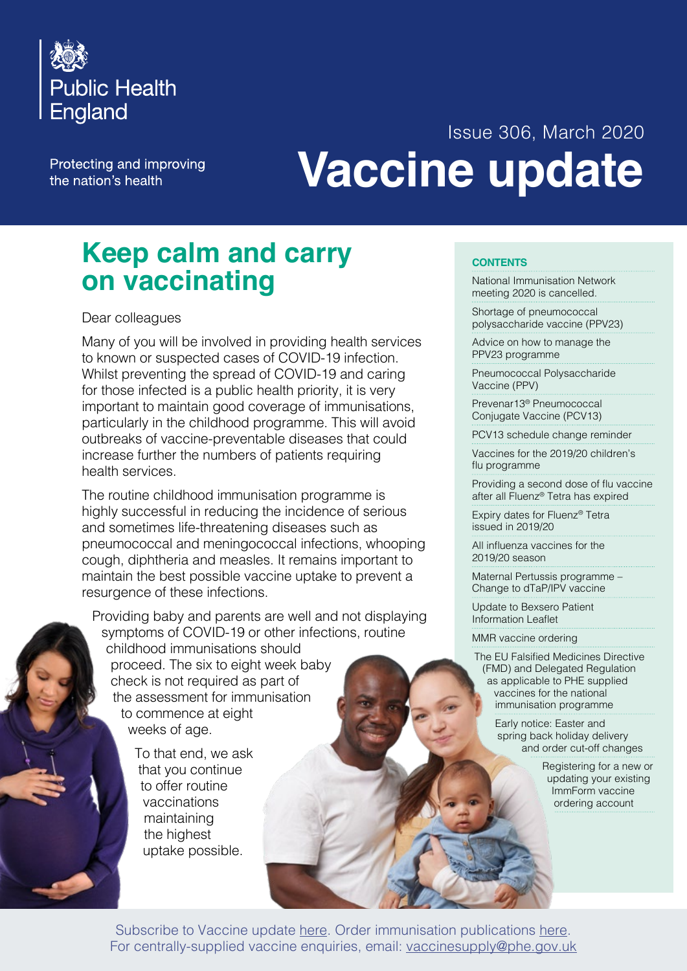

Protecting and improving the nation's health

# Issue 306, March 2020 **Vaccine update**

## **Keep calm and carry on vaccinating**

#### Dear colleagues

Many of you will be involved in providing health services to known or suspected cases of COVID-19 infection. Whilst preventing the spread of COVID-19 and caring for those infected is a public health priority, it is very important to maintain good coverage of immunisations, particularly in the childhood programme. This will avoid outbreaks of vaccine-preventable diseases that could increase further the numbers of patients requiring health services.

The routine childhood immunisation programme is highly successful in reducing the incidence of serious and sometimes life-threatening diseases such as pneumococcal and meningococcal infections, whooping cough, diphtheria and measles. It remains important to maintain the best possible vaccine uptake to prevent a resurgence of these infections.

Providing baby and parents are well and not displaying symptoms of COVID-19 or other infections, routine childhood immunisations should proceed. The six to eight week baby check is not required as part of the assessment for immunisation to commence at eight weeks of age.

> To that end, we ask that you continue to offer routine vaccinations maintaining the highest uptake possible.

#### **CONTENTS**

[National Immunisation Network](#page-1-0)  [meeting 2020 is cancelled.](#page-1-0) 

[Shortage of pneumococcal](#page-1-0)  [polysaccharide vaccine \(PPV23\)](#page-1-0)

[Advice on how to manage the](#page-1-0)  PPV23 [programme](#page-1-0)

[Pneumococcal Polysaccharide](#page-3-0)  [Vaccine \(PPV\)](#page-3-0)

[Prevenar13® Pneumococcal](#page-4-0)  Conjugate [Vaccine \(PCV13\)](#page-4-0) 

[PCV13 schedule change reminder](#page-4-0) 

[Vaccines for the 2019/20 children's](#page-4-0)  [flu programme](#page-4-0)

[Providing](#page-4-0) a second dose of flu vaccine [after all Fluenz® Tetra has expired](#page-4-0) 

[Expiry dates for Fluenz® Tetra](#page-5-0)  issued in [2019/20](#page-5-0) 

All [influenza](#page-5-0) vaccines for the [2019/20](#page-5-0) season

[Maternal Pertussis programme –](#page-6-0)  [Change to dTaP/IPV vaccine](#page-6-0)

[Update to Bexsero Patient](#page-6-0)  [Information Leaflet](#page-6-0)

[MMR vaccine ordering](#page-6-0) 

The EU Falsified [Medicines](#page-6-0) Directive (FMD) and Delegated [Regulation](#page-6-0) [as applicable to PHE supplied](#page-6-0)  [vaccines for the national](#page-6-0)  [immunisation](#page-6-0) programme

> [Early notice: Easter and](#page-8-0)  [spring back holiday delivery](#page-8-0)  and order cut-off [changes](#page-8-0)

> > [Registering for a new or](#page-10-0)  [updating your existing](#page-10-0)  [ImmForm vaccine](#page-10-0)  [ordering account](#page-10-0)

Subscribe to Vaccine update [here.](https://public.govdelivery.com/accounts/UKHPA/subscribers/new?preferences=true) Order immunisation publications [here.](https://www.orderline.dh.gov.uk/ecom_dh/public/home.jsf) For centrally-supplied vaccine enquiries, email: [vaccinesupply@phe.gov.uk](mailto:vaccinesupply%40phe.gov.uk?subject=)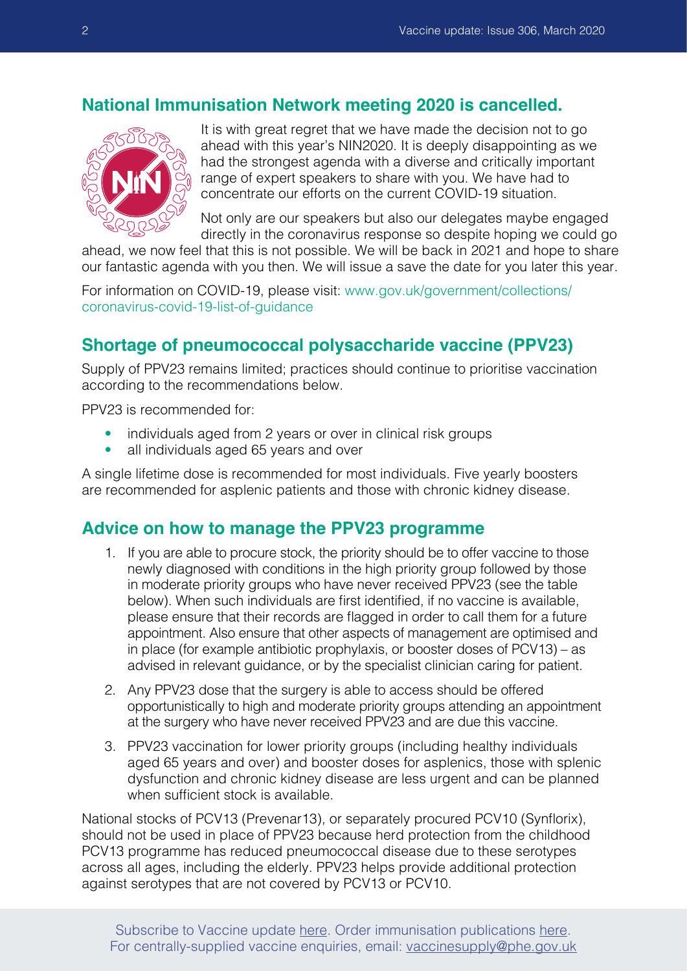### <span id="page-1-0"></span>**National Immunisation Network meeting 2020 is cancelled.**



It is with great regret that we have made the decision not to go ahead with this year's NIN2020. It is deeply disappointing as we had the strongest agenda with a diverse and critically important range of expert speakers to share with you. We have had to concentrate our efforts on the current COVID-19 situation.

Not only are our speakers but also our delegates maybe engaged directly in the coronavirus response so despite hoping we could go

ahead, we now feel that this is not possible. We will be back in 2021 and hope to share our fantastic agenda with you then. We will issue a save the date for you later this year.

For information on COVID-19, please visit: [www.gov.uk/government/collections/](https://www.gov.uk/government/collections/coronavirus-covid-19-list-of-guidance) [coronavirus-covid-19-list-of-guidance](https://www.gov.uk/government/collections/coronavirus-covid-19-list-of-guidance)

## **Shortage of pneumococcal polysaccharide vaccine (PPV23)**

Supply of PPV23 remains limited; practices should continue to prioritise vaccination according to the recommendations below.

PPV23 is recommended for:

- individuals aged from 2 years or over in clinical risk groups
- all individuals aged 65 years and over

A single lifetime dose is recommended for most individuals. Five yearly boosters are recommended for asplenic patients and those with chronic kidney disease.

#### **Advice on how to manage the PPV23 programme**

- 1. If you are able to procure stock, the priority should be to offer vaccine to those newly diagnosed with conditions in the high priority group followed by those in moderate priority groups who have never received PPV23 (see the table below). When such individuals are first identified, if no vaccine is available, please ensure that their records are flagged in order to call them for a future appointment. Also ensure that other aspects of management are optimised and in place (for example antibiotic prophylaxis, or booster doses of PCV13) – as advised in relevant guidance, or by the specialist clinician caring for patient.
- 2. Any PPV23 dose that the surgery is able to access should be offered opportunistically to high and moderate priority groups attending an appointment at the surgery who have never received PPV23 and are due this vaccine.
- 3. PPV23 vaccination for lower priority groups (including healthy individuals aged 65 years and over) and booster doses for asplenics, those with splenic dysfunction and chronic kidney disease are less urgent and can be planned when sufficient stock is available.

National stocks of PCV13 (Prevenar13), or separately procured PCV10 (Synflorix), should not be used in place of PPV23 because herd protection from the childhood PCV13 programme has reduced pneumococcal disease due to these serotypes across all ages, including the elderly. PPV23 helps provide additional protection against serotypes that are not covered by PCV13 or PCV10.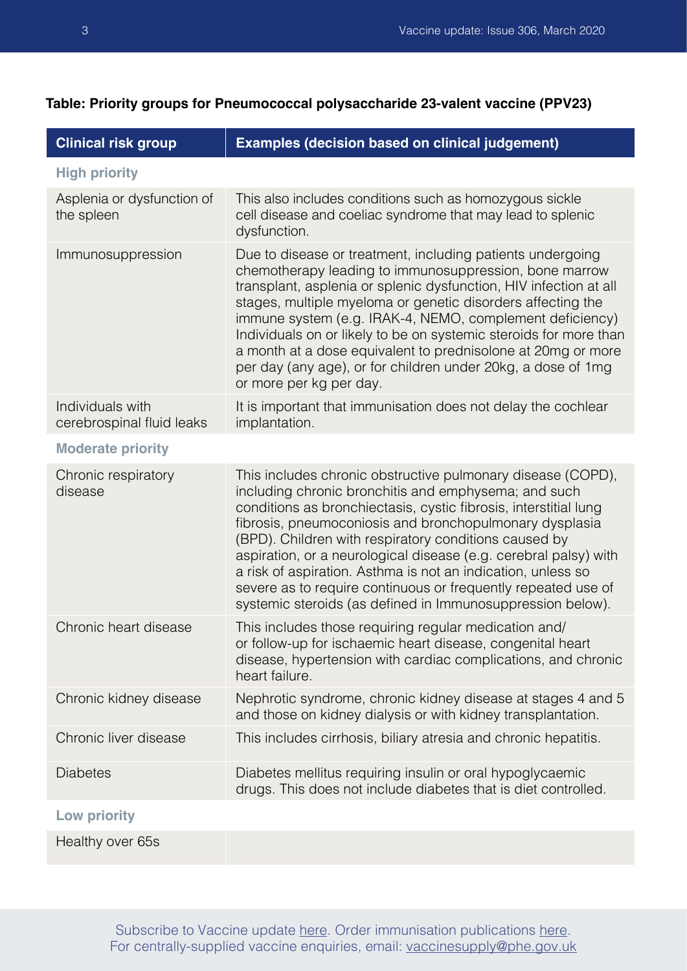| <b>Clinical risk group</b>                    | <b>Examples (decision based on clinical judgement)</b>                                                                                                                                                                                                                                                                                                                                                                                                                                                                                                                         |
|-----------------------------------------------|--------------------------------------------------------------------------------------------------------------------------------------------------------------------------------------------------------------------------------------------------------------------------------------------------------------------------------------------------------------------------------------------------------------------------------------------------------------------------------------------------------------------------------------------------------------------------------|
| <b>High priority</b>                          |                                                                                                                                                                                                                                                                                                                                                                                                                                                                                                                                                                                |
| Asplenia or dysfunction of<br>the spleen      | This also includes conditions such as homozygous sickle<br>cell disease and coeliac syndrome that may lead to splenic<br>dysfunction.                                                                                                                                                                                                                                                                                                                                                                                                                                          |
| Immunosuppression                             | Due to disease or treatment, including patients undergoing<br>chemotherapy leading to immunosuppression, bone marrow<br>transplant, asplenia or splenic dysfunction, HIV infection at all<br>stages, multiple myeloma or genetic disorders affecting the<br>immune system (e.g. IRAK-4, NEMO, complement deficiency)<br>Individuals on or likely to be on systemic steroids for more than<br>a month at a dose equivalent to prednisolone at 20mg or more<br>per day (any age), or for children under 20kg, a dose of 1mg<br>or more per kg per day.                           |
| Individuals with<br>cerebrospinal fluid leaks | It is important that immunisation does not delay the cochlear<br>implantation.                                                                                                                                                                                                                                                                                                                                                                                                                                                                                                 |
| <b>Moderate priority</b>                      |                                                                                                                                                                                                                                                                                                                                                                                                                                                                                                                                                                                |
| Chronic respiratory<br>disease                | This includes chronic obstructive pulmonary disease (COPD),<br>including chronic bronchitis and emphysema; and such<br>conditions as bronchiectasis, cystic fibrosis, interstitial lung<br>fibrosis, pneumoconiosis and bronchopulmonary dysplasia<br>(BPD). Children with respiratory conditions caused by<br>aspiration, or a neurological disease (e.g. cerebral palsy) with<br>a risk of aspiration. Asthma is not an indication, unless so<br>severe as to require continuous or frequently repeated use of<br>systemic steroids (as defined in Immunosuppression below). |
| Chronic heart disease                         | This includes those requiring regular medication and/<br>or follow-up for ischaemic heart disease, congenital heart<br>disease, hypertension with cardiac complications, and chronic<br>heart failure.                                                                                                                                                                                                                                                                                                                                                                         |
| Chronic kidney disease                        | Nephrotic syndrome, chronic kidney disease at stages 4 and 5<br>and those on kidney dialysis or with kidney transplantation.                                                                                                                                                                                                                                                                                                                                                                                                                                                   |
| Chronic liver disease                         | This includes cirrhosis, biliary atresia and chronic hepatitis.                                                                                                                                                                                                                                                                                                                                                                                                                                                                                                                |
| <b>Diabetes</b>                               | Diabetes mellitus requiring insulin or oral hypoglycaemic<br>drugs. This does not include diabetes that is diet controlled.                                                                                                                                                                                                                                                                                                                                                                                                                                                    |
| <b>Low priority</b>                           |                                                                                                                                                                                                                                                                                                                                                                                                                                                                                                                                                                                |
| Healthy over 65s                              |                                                                                                                                                                                                                                                                                                                                                                                                                                                                                                                                                                                |

### **Table: Priority groups for Pneumococcal polysaccharide 23-valent vaccine (PPV23)**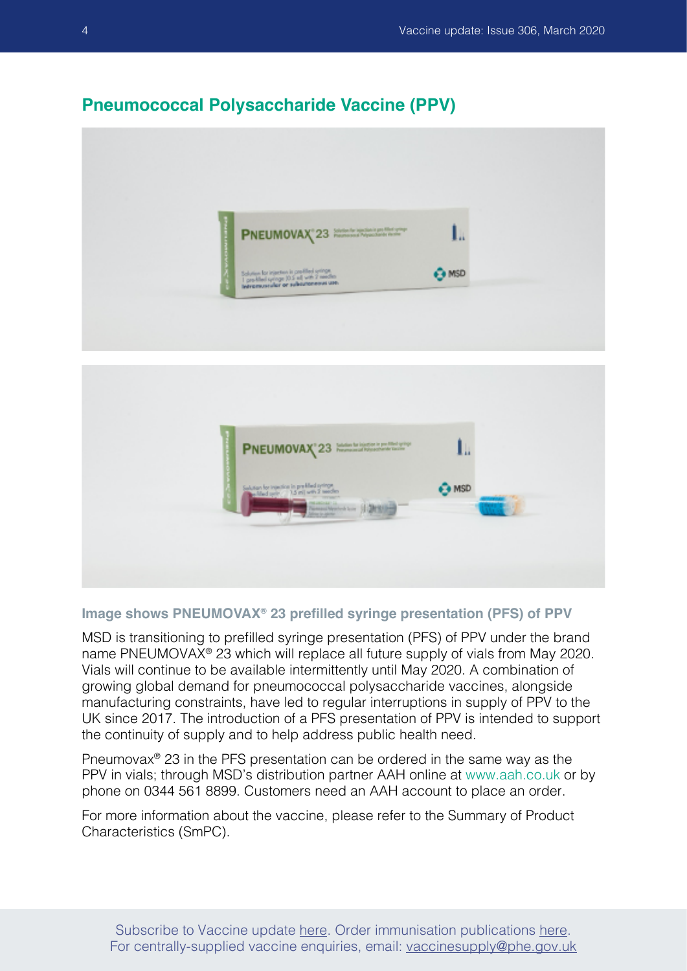## <span id="page-3-0"></span>**Pneumococcal Polysaccharide Vaccine (PPV)**





#### **Image shows PNEUMOVAX® 23 prefilled syringe presentation (PFS) of PPV**

MSD is transitioning to prefilled syringe presentation (PFS) of PPV under the brand name PNEUMOVAX® 23 which will replace all future supply of vials from May 2020. Vials will continue to be available intermittently until May 2020. A combination of growing global demand for pneumococcal polysaccharide vaccines, alongside manufacturing constraints, have led to regular interruptions in supply of PPV to the UK since 2017. The introduction of a PFS presentation of PPV is intended to support the continuity of supply and to help address public health need.

Pneumovax® 23 in the PFS presentation can be ordered in the same way as the PPV in vials; through MSD's distribution partner AAH online at [www.aah.co.uk](http://www.aah.co.uk) or by phone on 0344 561 8899. Customers need an AAH account to place an order.

For more information about the vaccine, please refer to the Summary of Product Characteristics (SmPC).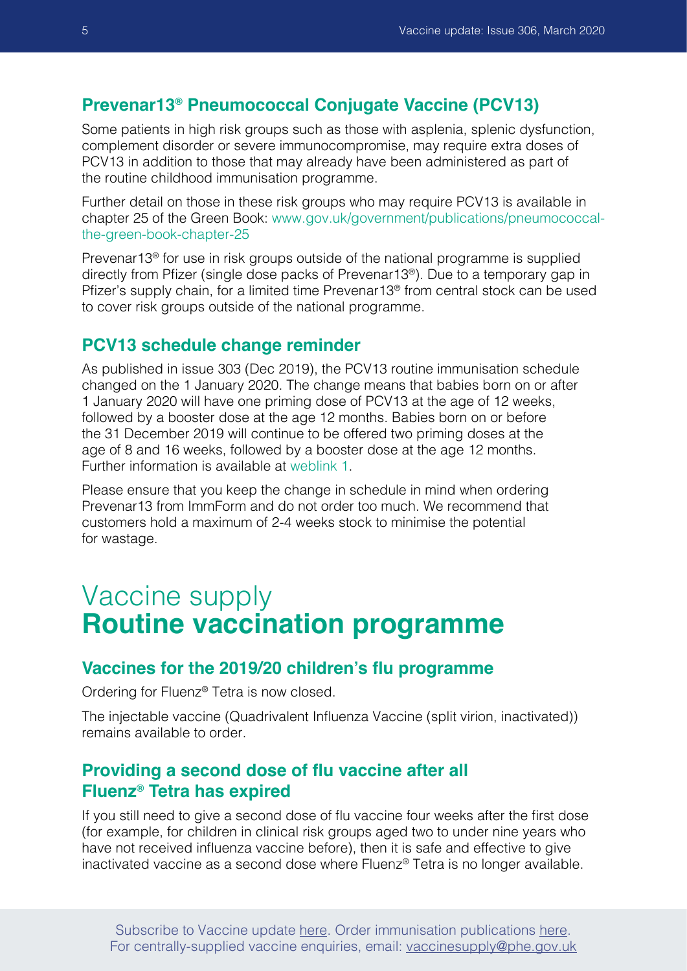#### <span id="page-4-0"></span>**Prevenar13® Pneumococcal Conjugate Vaccine (PCV13)**

Some patients in high risk groups such as those with asplenia, splenic dysfunction, complement disorder or severe immunocompromise, may require extra doses of PCV13 in addition to those that may already have been administered as part of the routine childhood immunisation programme.

Further detail on those in these risk groups who may require PCV13 is available in chapter 25 of the Green Book: [www.gov.uk/government/publications/pneumococcal](https://www.gov.uk/government/publications/pneumococcal-the-green-book-chapter-25)[the-green-book-chapter-25](https://www.gov.uk/government/publications/pneumococcal-the-green-book-chapter-25)

Prevenar13® for use in risk groups outside of the national programme is supplied directly from Pfizer (single dose packs of Prevenar13®). Due to a temporary gap in Pfizer's supply chain, for a limited time Prevenar13® from central stock can be used to cover risk groups outside of the national programme.

### **PCV13 schedule change reminder**

As published in issue 303 (Dec 2019), the PCV13 routine immunisation schedule changed on the 1 January 2020. The change means that babies born on or after 1 January 2020 will have one priming dose of PCV13 at the age of 12 weeks, followed by a booster dose at the age 12 months. Babies born on or before the 31 December 2019 will continue to be offered two priming doses at the age of 8 and 16 weeks, followed by a booster dose at the age 12 months. Further information is available at [weblink 1](https://www.gov.uk/government/collections/pneumococcal-vaccination-programme).

Please ensure that you keep the change in schedule in mind when ordering Prevenar13 from ImmForm and do not order too much. We recommend that customers hold a maximum of 2-4 weeks stock to minimise the potential for wastage.

## Vaccine supply **Routine vaccination programme**

#### **Vaccines for the 2019/20 children's flu programme**

Ordering for Fluenz® Tetra is now closed.

The injectable vaccine (Quadrivalent Influenza Vaccine (split virion, inactivated)) remains available to order.

## **Providing a second dose of flu vaccine after all Fluenz® Tetra has expired**

If you still need to give a second dose of flu vaccine four weeks after the first dose (for example, for children in clinical risk groups aged two to under nine years who have not received influenza vaccine before), then it is safe and effective to give inactivated vaccine as a second dose where Fluenz® Tetra is no longer available.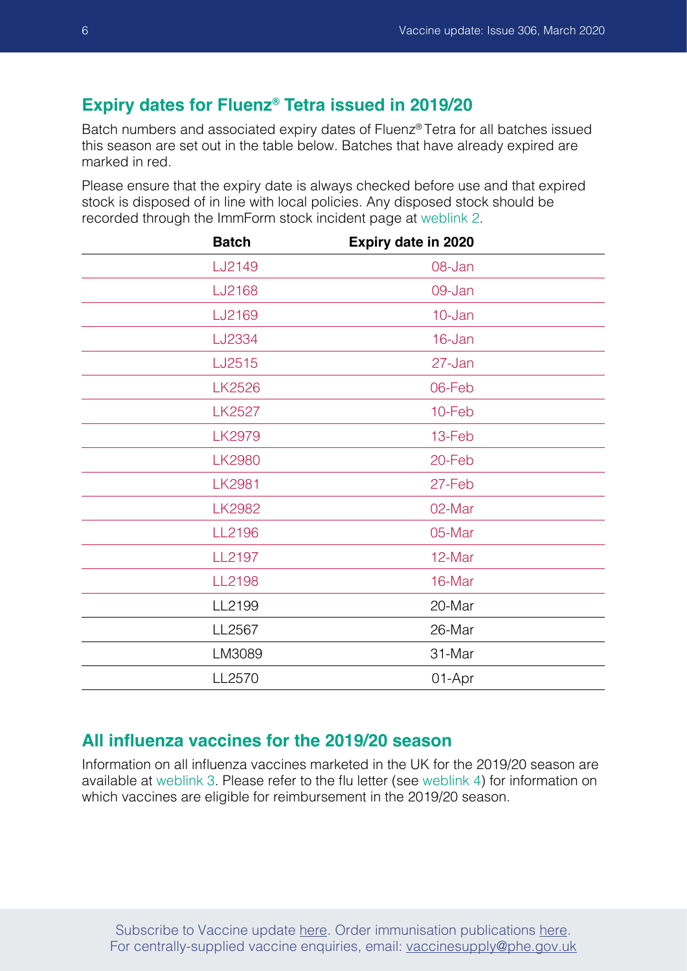#### <span id="page-5-0"></span>**Expiry dates for Fluenz® Tetra issued in 2019/20**

Batch numbers and associated expiry dates of Fluenz® Tetra for all batches issued this season are set out in the table below. Batches that have already expired are marked in red.

Please ensure that the expiry date is always checked before use and that expired stock is disposed of in line with local policies. Any disposed stock should be recorded through the ImmForm stock incident page at [weblink 2.](https://portal.immform.dh.gov.uk/VaccineSupply/VaccineSupply/Stock-Incident/Add-Stock-incident.aspx)

| <b>Batch</b>  | Expiry date in 2020 |
|---------------|---------------------|
| LJ2149        | 08-Jan              |
| LJ2168        | 09-Jan              |
| LJ2169        | 10-Jan              |
| LJ2334        | 16-Jan              |
| LJ2515        | 27-Jan              |
| <b>LK2526</b> | 06-Feb              |
| <b>LK2527</b> | 10-Feb              |
| <b>LK2979</b> | 13-Feb              |
| <b>LK2980</b> | 20-Feb              |
| <b>LK2981</b> | 27-Feb              |
| <b>LK2982</b> | 02-Mar              |
| LL2196        | 05-Mar              |
| LL2197        | 12-Mar              |
| LL2198        | 16-Mar              |
| LL2199        | 20-Mar              |
| LL2567        | 26-Mar              |
| LM3089        | 31-Mar              |
| LL2570        | 01-Apr              |

#### **All influenza vaccines for the 2019/20 season**

Information on all influenza vaccines marketed in the UK for the 2019/20 season are available at [weblink 3](https://www.gov.uk/government/publications/influenza-vaccine-ovalbumin-content). Please refer to the flu letter (see [weblink 4\)](https://assets.publishing.service.gov.uk/government/uploads/system/uploads/attachment_data/file/788903/Annual_national_flu_programme_2019_to_2020_.pdf) for information on which vaccines are eligible for reimbursement in the 2019/20 season.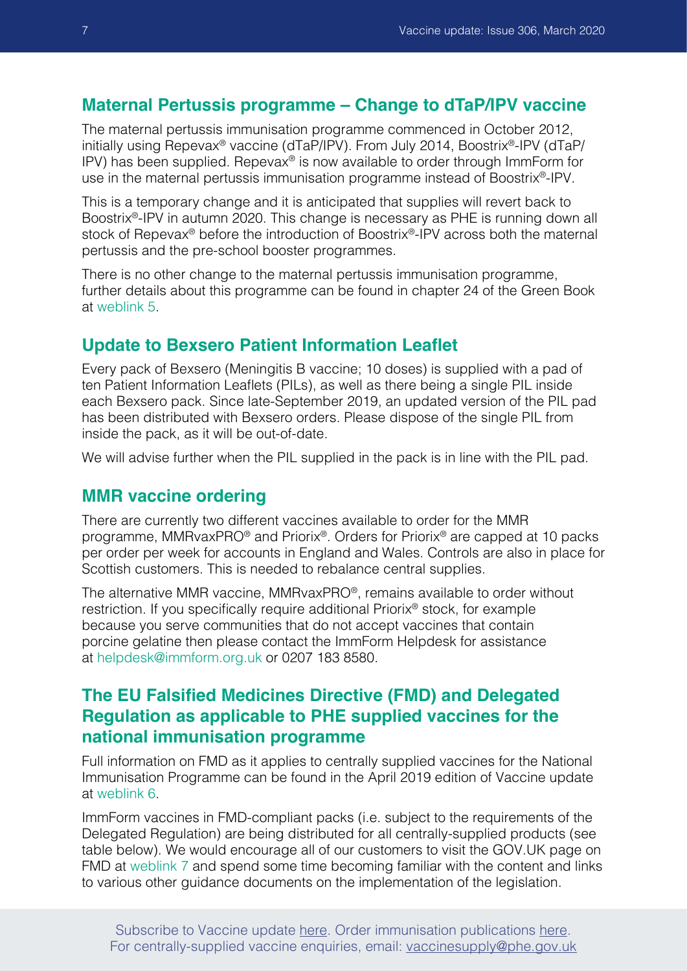#### <span id="page-6-0"></span>**Maternal Pertussis programme – Change to dTaP/IPV vaccine**

The maternal pertussis immunisation programme commenced in October 2012, initially using Repevax® vaccine (dTaP/IPV). From July 2014, Boostrix®-IPV (dTaP/ IPV) has been supplied. Repevax® is now available to order through ImmForm for use in the maternal pertussis immunisation programme instead of Boostrix®-IPV.

This is a temporary change and it is anticipated that supplies will revert back to Boostrix®-IPV in autumn 2020. This change is necessary as PHE is running down all stock of Repevax<sup>®</sup> before the introduction of Boostrix<sup>®</sup>-IPV across both the maternal pertussis and the pre-school booster programmes.

There is no other change to the maternal pertussis immunisation programme, further details about this programme can be found in chapter 24 of the Green Book at [weblink 5.](https://www.gov.uk/government/publications/pertussis-the-green-book-chapter-24)

#### **Update to Bexsero Patient Information Leaflet**

Every pack of Bexsero (Meningitis B vaccine; 10 doses) is supplied with a pad of ten Patient Information Leaflets (PILs), as well as there being a single PIL inside each Bexsero pack. Since late-September 2019, an updated version of the PIL pad has been distributed with Bexsero orders. Please dispose of the single PIL from inside the pack, as it will be out-of-date.

We will advise further when the PIL supplied in the pack is in line with the PIL pad.

#### **MMR vaccine ordering**

There are currently two different vaccines available to order for the MMR programme, MMRvaxPRO® and Priorix®. Orders for Priorix® are capped at 10 packs per order per week for accounts in England and Wales. Controls are also in place for Scottish customers. This is needed to rebalance central supplies.

The alternative MMR vaccine, MMRvaxPRO®, remains available to order without restriction. If you specifically require additional Priorix® stock, for example because you serve communities that do not accept vaccines that contain porcine gelatine then please contact the ImmForm Helpdesk for assistance at [helpdesk@immform.org.uk](mailto:helpdesk%40immform.org.uk?subject=) or 0207 183 8580.

## **The EU Falsified Medicines Directive (FMD) and Delegated Regulation as applicable to PHE supplied vaccines for the national immunisation programme**

Full information on FMD as it applies to centrally supplied vaccines for the National Immunisation Programme can be found in the April 2019 edition of Vaccine update at [weblink 6.](https://www.gov.uk/government/publications/vaccine-update-issue-293-april-2019)

ImmForm vaccines in FMD-compliant packs (i.e. subject to the requirements of the Delegated Regulation) are being distributed for all centrally-supplied products (see table below). We would encourage all of our customers to visit the GOV.UK page on FMD at [weblink 7](https://www.gov.uk/government/publications/fmd-guidance-for-recipients-of-phe-supplied-vaccines) and spend some time becoming familiar with the content and links to various other guidance documents on the implementation of the legislation.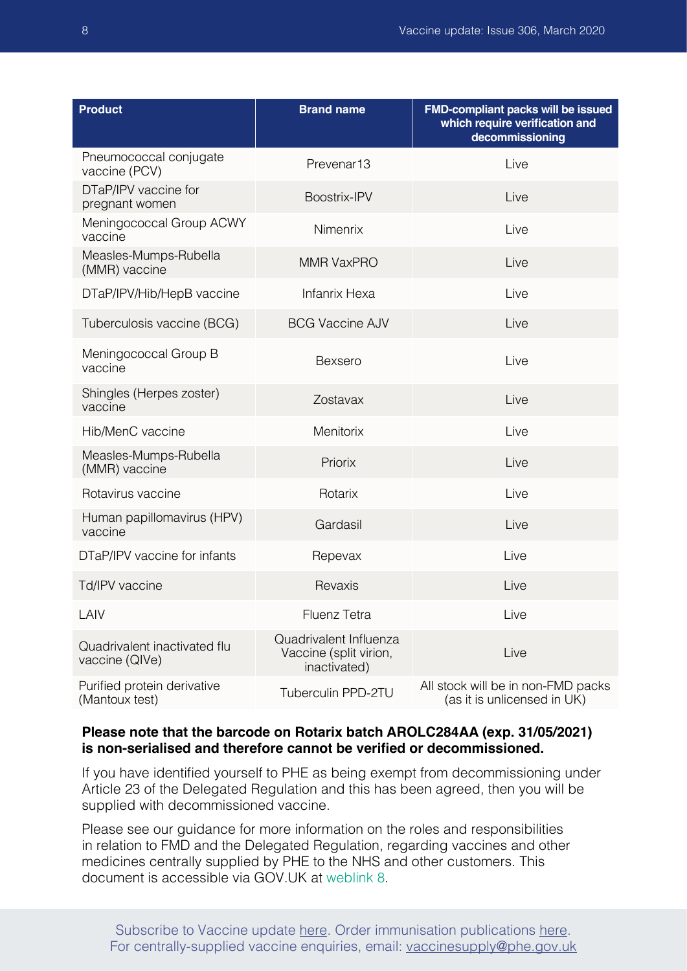| <b>Product</b>                                 | <b>Brand name</b>                                                | FMD-compliant packs will be issued<br>which require verification and<br>decommissioning |
|------------------------------------------------|------------------------------------------------------------------|-----------------------------------------------------------------------------------------|
| Pneumococcal conjugate<br>vaccine (PCV)        | Prevenar <sub>13</sub>                                           | Live                                                                                    |
| DTaP/IPV vaccine for<br>pregnant women         | Boostrix-IPV                                                     | Live                                                                                    |
| Meningococcal Group ACWY<br>vaccine            | Nimenrix                                                         | Live                                                                                    |
| Measles-Mumps-Rubella<br>(MMR) vaccine         | <b>MMR VaxPRO</b>                                                | Live                                                                                    |
| DTaP/IPV/Hib/HepB vaccine                      | <b>Infanrix Hexa</b>                                             | Live                                                                                    |
| Tuberculosis vaccine (BCG)                     | <b>BCG Vaccine AJV</b>                                           | Live                                                                                    |
| Meningococcal Group B<br>vaccine               | <b>Bexsero</b>                                                   | Live                                                                                    |
| Shingles (Herpes zoster)<br>vaccine            | Zostavax                                                         | Live                                                                                    |
| Hib/MenC vaccine                               | Menitorix                                                        | Live                                                                                    |
| Measles-Mumps-Rubella<br>(MMR) vaccine         | Priorix                                                          | Live                                                                                    |
| Rotavirus vaccine                              | Rotarix                                                          | Live                                                                                    |
| Human papillomavirus (HPV)<br>vaccine          | Gardasil                                                         | Live                                                                                    |
| DTaP/IPV vaccine for infants                   | Repevax                                                          | Live                                                                                    |
| Td/IPV vaccine                                 | Revaxis                                                          | Live                                                                                    |
| LAIV                                           | <b>Fluenz Tetra</b>                                              | Live                                                                                    |
| Quadrivalent inactivated flu<br>vaccine (QIVe) | Quadrivalent Influenza<br>Vaccine (split virion,<br>inactivated) | Live                                                                                    |
| Purified protein derivative<br>(Mantoux test)  | Tuberculin PPD-2TU                                               | All stock will be in non-FMD packs<br>(as it is unlicensed in UK)                       |

#### **Please note that the barcode on Rotarix batch AROLC284AA (exp. 31/05/2021) is non-serialised and therefore cannot be verified or decommissioned.**

If you have identified yourself to PHE as being exempt from decommissioning under Article 23 of the Delegated Regulation and this has been agreed, then you will be supplied with decommissioned vaccine.

Please see our guidance for more information on the roles and responsibilities in relation to FMD and the Delegated Regulation, regarding vaccines and other medicines centrally supplied by PHE to the NHS and other customers. This document is accessible via GOV.UK at [weblink 8](https://www.gov.uk/government/publications/fmd-guidance-for-recipients-of-phe-supplied-vaccines).

Subscribe to Vaccine update [here.](https://public.govdelivery.com/accounts/UKHPA/subscribers/new?preferences=true) Order immunisation publications [here.](https://www.orderline.dh.gov.uk/ecom_dh/public/home.jsf) For centrally-supplied vaccine enquiries, email: vaccinesupply@phe.gov.uk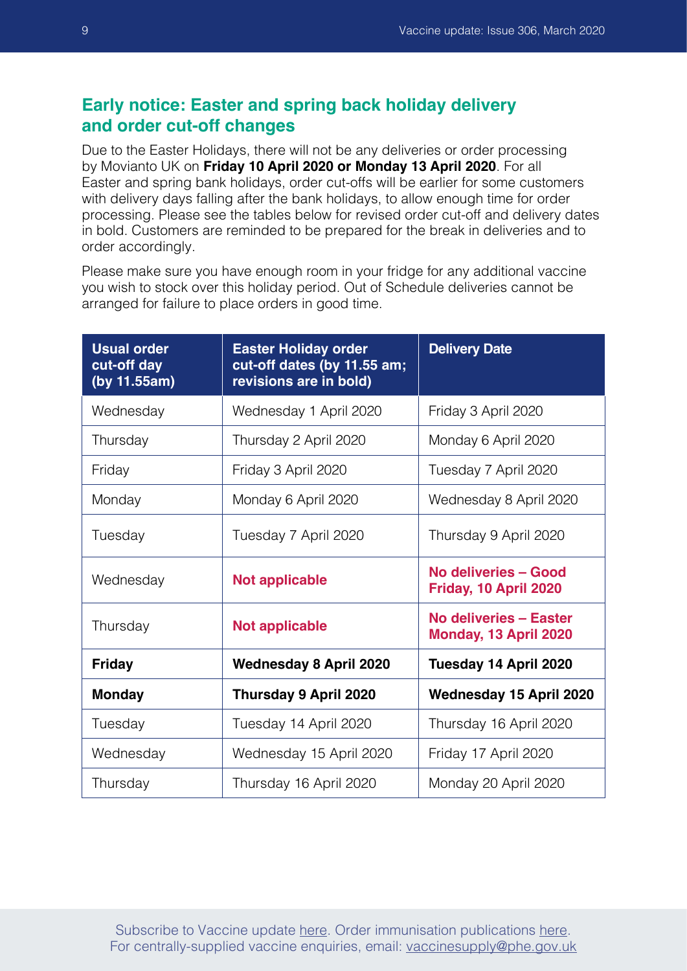## <span id="page-8-0"></span>**Early notice: Easter and spring back holiday delivery and order cut-off changes**

Due to the Easter Holidays, there will not be any deliveries or order processing by Movianto UK on **Friday 10 April 2020 or Monday 13 April 2020**. For all Easter and spring bank holidays, order cut-offs will be earlier for some customers with delivery days falling after the bank holidays, to allow enough time for order processing. Please see the tables below for revised order cut-off and delivery dates in bold. Customers are reminded to be prepared for the break in deliveries and to order accordingly.

Please make sure you have enough room in your fridge for any additional vaccine you wish to stock over this holiday period. Out of Schedule deliveries cannot be arranged for failure to place orders in good time.

| <b>Usual order</b><br>cut-off day<br>(by 11.55am) | <b>Easter Holiday order</b><br>cut-off dates (by 11.55 am;<br>revisions are in bold) | <b>Delivery Date</b>                            |
|---------------------------------------------------|--------------------------------------------------------------------------------------|-------------------------------------------------|
| Wednesday                                         | Wednesday 1 April 2020                                                               | Friday 3 April 2020                             |
| Thursday                                          | Thursday 2 April 2020                                                                | Monday 6 April 2020                             |
| Friday                                            | Friday 3 April 2020                                                                  | Tuesday 7 April 2020                            |
| Monday                                            | Monday 6 April 2020                                                                  | Wednesday 8 April 2020                          |
| Tuesday                                           | Tuesday 7 April 2020                                                                 | Thursday 9 April 2020                           |
| Wednesday                                         | <b>Not applicable</b>                                                                | No deliveries - Good<br>Friday, 10 April 2020   |
| Thursday                                          | <b>Not applicable</b>                                                                | No deliveries - Easter<br>Monday, 13 April 2020 |
| <b>Friday</b>                                     | <b>Wednesday 8 April 2020</b>                                                        | Tuesday 14 April 2020                           |
| <b>Monday</b>                                     | Thursday 9 April 2020                                                                | <b>Wednesday 15 April 2020</b>                  |
| Tuesday                                           | Tuesday 14 April 2020                                                                | Thursday 16 April 2020                          |
| Wednesday                                         | Wednesday 15 April 2020                                                              | Friday 17 April 2020                            |
| Thursday                                          | Thursday 16 April 2020                                                               | Monday 20 April 2020                            |

Subscribe to Vaccine update [here.](https://public.govdelivery.com/accounts/UKHPA/subscribers/new?preferences=true) Order immunisation publications [here.](https://www.orderline.dh.gov.uk/ecom_dh/public/home.jsf) For centrally-supplied vaccine enquiries, email: vaccinesupply@phe.gov.uk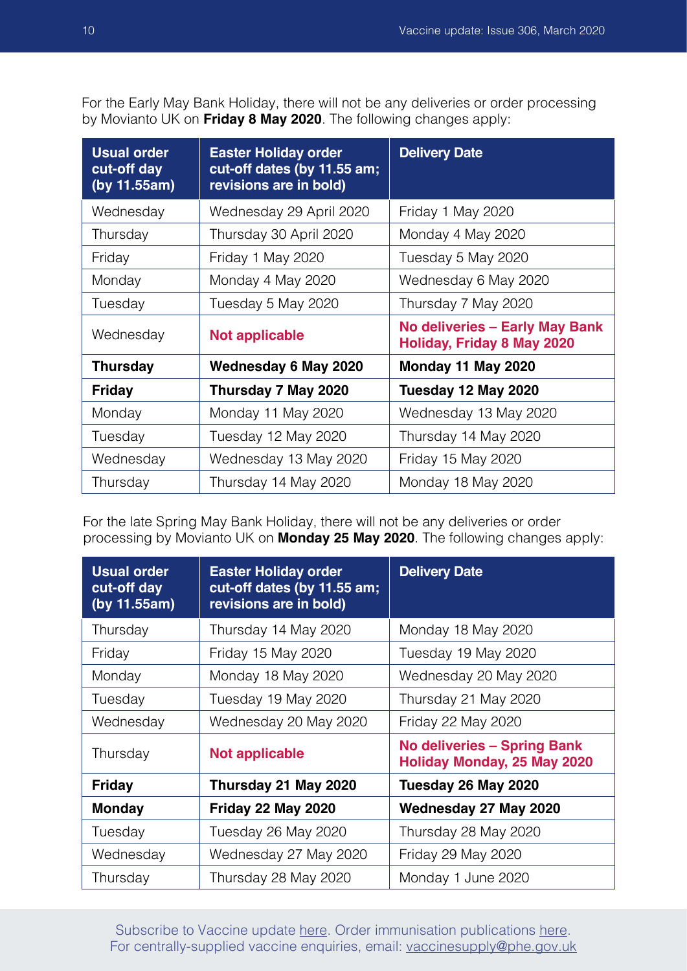For the Early May Bank Holiday, there will not be any deliveries or order processing by Movianto UK on **Friday 8 May 2020**. The following changes apply:

| <b>Usual order</b><br>cut-off day<br>(by 11.55am) | <b>Easter Holiday order</b><br>cut-off dates (by 11.55 am;<br>revisions are in bold) | <b>Delivery Date</b>                                                       |
|---------------------------------------------------|--------------------------------------------------------------------------------------|----------------------------------------------------------------------------|
| Wednesday                                         | Wednesday 29 April 2020                                                              | Friday 1 May 2020                                                          |
| Thursday                                          | Thursday 30 April 2020                                                               | Monday 4 May 2020                                                          |
| Friday                                            | Friday 1 May 2020                                                                    | Tuesday 5 May 2020                                                         |
| Monday                                            | Monday 4 May 2020                                                                    | Wednesday 6 May 2020                                                       |
| Tuesday                                           | Tuesday 5 May 2020                                                                   | Thursday 7 May 2020                                                        |
| Wednesday                                         | <b>Not applicable</b>                                                                | <b>No deliveries - Early May Bank</b><br><b>Holiday, Friday 8 May 2020</b> |
| <b>Thursday</b>                                   | <b>Wednesday 6 May 2020</b>                                                          | Monday 11 May 2020                                                         |
| <b>Friday</b>                                     | Thursday 7 May 2020                                                                  | Tuesday 12 May 2020                                                        |
| Monday                                            | Monday 11 May 2020                                                                   | Wednesday 13 May 2020                                                      |
| Tuesday                                           | Tuesday 12 May 2020                                                                  | Thursday 14 May 2020                                                       |
| Wednesday                                         | Wednesday 13 May 2020                                                                | Friday 15 May 2020                                                         |
| Thursday                                          | Thursday 14 May 2020                                                                 | Monday 18 May 2020                                                         |

For the late Spring May Bank Holiday, there will not be any deliveries or order processing by Movianto UK on **Monday 25 May 2020**. The following changes apply:

| <b>Usual order</b><br>cut-off day<br>(by 11.55am) | <b>Easter Holiday order</b><br>cut-off dates (by 11.55 am;<br>revisions are in bold) | <b>Delivery Date</b>                                              |
|---------------------------------------------------|--------------------------------------------------------------------------------------|-------------------------------------------------------------------|
| Thursday                                          | Thursday 14 May 2020                                                                 | Monday 18 May 2020                                                |
| Friday                                            | Friday 15 May 2020                                                                   | Tuesday 19 May 2020                                               |
| Monday                                            | Monday 18 May 2020                                                                   | Wednesday 20 May 2020                                             |
| Tuesday                                           | Tuesday 19 May 2020                                                                  | Thursday 21 May 2020                                              |
| Wednesday                                         | Wednesday 20 May 2020                                                                | Friday 22 May 2020                                                |
| Thursday                                          | <b>Not applicable</b>                                                                | <b>No deliveries - Spring Bank</b><br>Holiday Monday, 25 May 2020 |
| <b>Friday</b>                                     | Thursday 21 May 2020                                                                 | Tuesday 26 May 2020                                               |
| <b>Monday</b>                                     | Friday 22 May 2020                                                                   | Wednesday 27 May 2020                                             |
| Tuesday                                           | Tuesday 26 May 2020                                                                  | Thursday 28 May 2020                                              |
| Wednesday                                         | Wednesday 27 May 2020                                                                | Friday 29 May 2020                                                |
| Thursday                                          | Thursday 28 May 2020                                                                 | Monday 1 June 2020                                                |

Subscribe to Vaccine update [here.](https://public.govdelivery.com/accounts/UKHPA/subscribers/new?preferences=true) Order immunisation publications [here.](https://www.orderline.dh.gov.uk/ecom_dh/public/home.jsf) For centrally-supplied vaccine enquiries, email: vaccinesupply@phe.gov.uk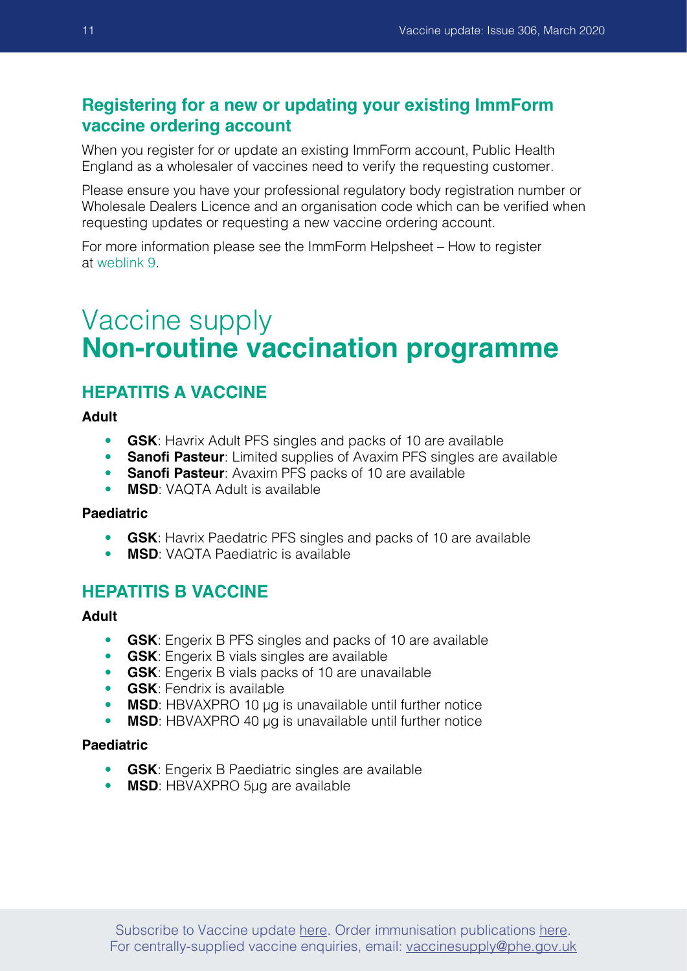## <span id="page-10-0"></span>**Registering for a new or updating your existing ImmForm vaccine ordering account**

When you register for or update an existing ImmForm account, Public Health England as a wholesaler of vaccines need to verify the requesting customer.

Please ensure you have your professional regulatory body registration number or Wholesale Dealers Licence and an organisation code which can be verified when requesting updates or requesting a new vaccine ordering account.

For more information please see the ImmForm Helpsheet – How to register at [weblink](mailto:%20jo.jenkins%40gstt.nhs.uk?subject=) 9.

## Vaccine supply **Non-routine vaccination programme**

### **HEPATITIS A VACCINE**

**Adult**

- **GSK**: Havrix Adult PFS singles and packs of 10 are available
- **Sanofi Pasteur:** Limited supplies of Avaxim PFS singles are available
- **Sanofi Pasteur**: Avaxim PFS packs of 10 are available
- **MSD**: VAQTA Adult is available

#### **Paediatric**

- **GSK**: Havrix Paedatric PFS singles and packs of 10 are available
- **MSD**: VAQTA Paediatric is available

#### **HEPATITIS B VACCINE**

#### **Adult**

- **GSK**: Engerix B PFS singles and packs of 10 are available
- **GSK**: Engerix B vials singles are available
- **GSK**: Engerix B vials packs of 10 are unavailable
- **GSK**: Fendrix is available
- **MSD**: HBVAXPRO 10 µg is unavailable until further notice
- **MSD**: HBVAXPRO 40 µg is unavailable until further notice

#### **Paediatric**

- **GSK**: Engerix B Paediatric singles are available
- **MSD**: HBVAXPRO 5µg are available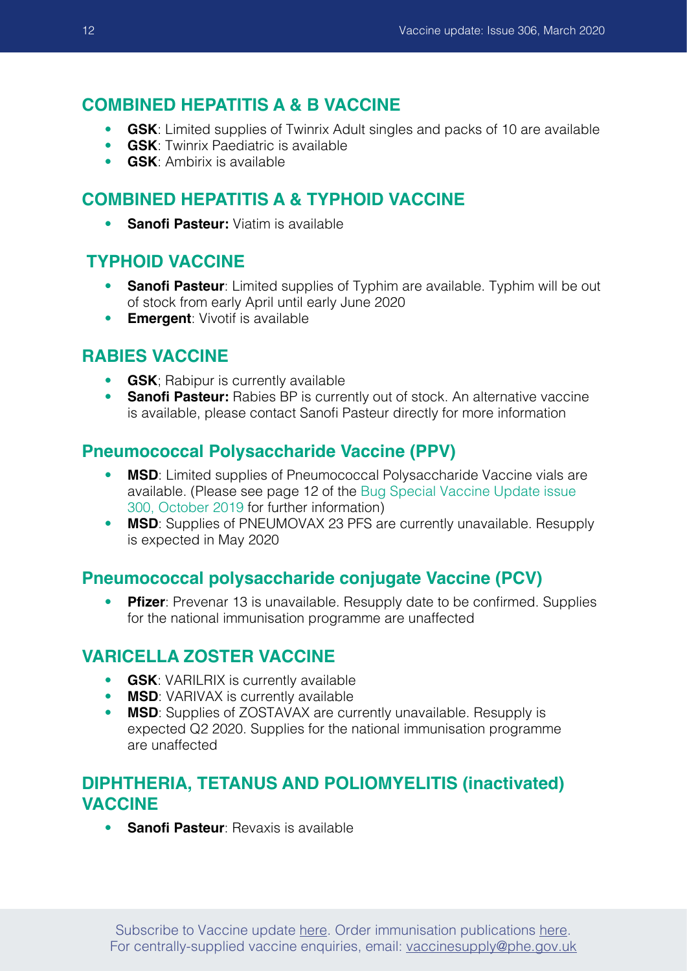#### **COMBINED HEPATITIS A & B VACCINE**

- **GSK**: Limited supplies of Twinrix Adult singles and packs of 10 are available
- **GSK**: Twinrix Paediatric is available
- **GSK**: Ambirix is available

## **COMBINED HEPATITIS A & TYPHOID VACCINE**

• **Sanofi Pasteur:** Viatim is available

#### **TYPHOID VACCINE**

- **Sanofi Pasteur**: Limited supplies of Typhim are available. Typhim will be out of stock from early April until early June 2020
- **Emergent**: Vivotif is available

#### **RABIES VACCINE**

- **GSK**; Rabipur is currently available
- **Sanofi Pasteur:** Rabies BP is currently out of stock. An alternative vaccine is available, please contact Sanofi Pasteur directly for more information

### **Pneumococcal Polysaccharide Vaccine (PPV)**

- **MSD**: Limited supplies of Pneumococcal Polysaccharide Vaccine vials are available. (Please see page 12 of the [Bug Special Vaccine Update issue](https://www.gov.uk/government/publications/vaccine-update-issue-300-october-2019-bug-special-edition)  [300, October 2019](https://www.gov.uk/government/publications/vaccine-update-issue-300-october-2019-bug-special-edition) for further information)
- **MSD**: Supplies of PNEUMOVAX 23 PFS are currently unavailable. Resupply is expected in May 2020

## **Pneumococcal polysaccharide conjugate Vaccine (PCV)**

• **Pfizer**: Prevenar 13 is unavailable. Resupply date to be confirmed. Supplies for the national immunisation programme are unaffected

### **VARICELLA ZOSTER VACCINE**

- **GSK**: VARILRIX is currently available
- **MSD:** VARIVAX is currently available
- **MSD**: Supplies of ZOSTAVAX are currently unavailable. Resupply is expected Q2 2020. Supplies for the national immunisation programme are unaffected

## **DIPHTHERIA, TETANUS AND POLIOMYELITIS (inactivated) VACCINE**

• **Sanofi Pasteur**: Revaxis is available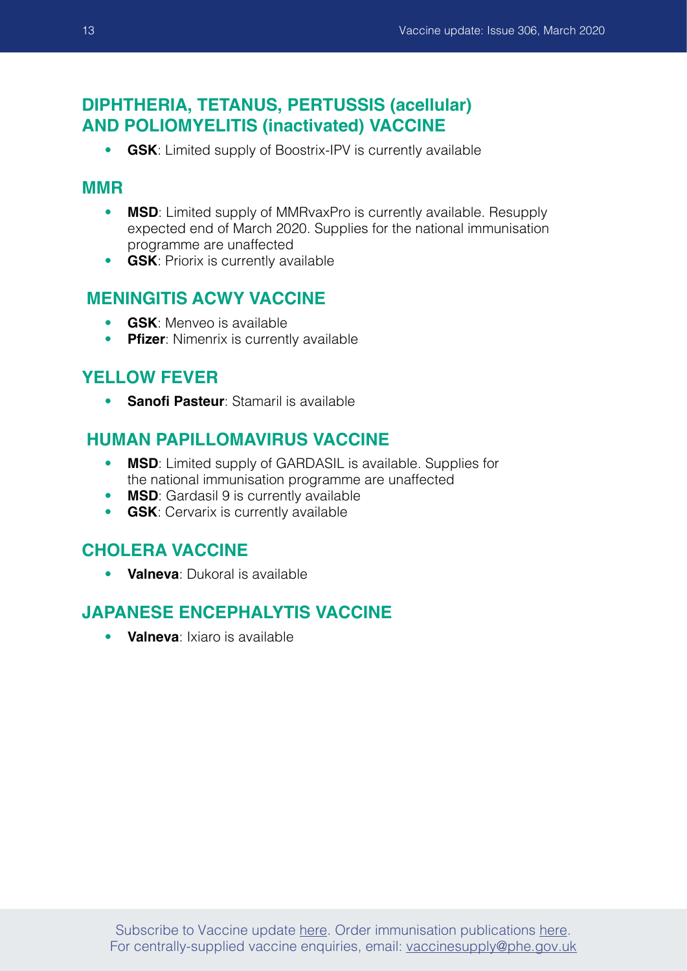## **DIPHTHERIA, TETANUS, PERTUSSIS (acellular) AND POLIOMYELITIS (inactivated) VACCINE**

• **GSK**: Limited supply of Boostrix-IPV is currently available

#### **MMR**

- **MSD**: Limited supply of MMRvaxPro is currently available. Resupply expected end of March 2020. Supplies for the national immunisation programme are unaffected
- **GSK**: Priorix is currently available

### **MENINGITIS ACWY VACCINE**

- **GSK**: Menveo is available
- **Pfizer**: Nimenrix is currently available

#### **YELLOW FEVER**

• **Sanofi Pasteur**: Stamaril is available

### **HUMAN PAPILLOMAVIRUS VACCINE**

- **MSD**: Limited supply of GARDASIL is available. Supplies for the national immunisation programme are unaffected
- **MSD**: Gardasil 9 is currently available<br>• GSK: Cervarix is currently available
- **GSK:** Cervarix is currently available

### **CHOLERA VACCINE**

• **Valneva**: Dukoral is available

## **JAPANESE ENCEPHALYTIS VACCINE**

• **Valneva**: Ixiaro is available